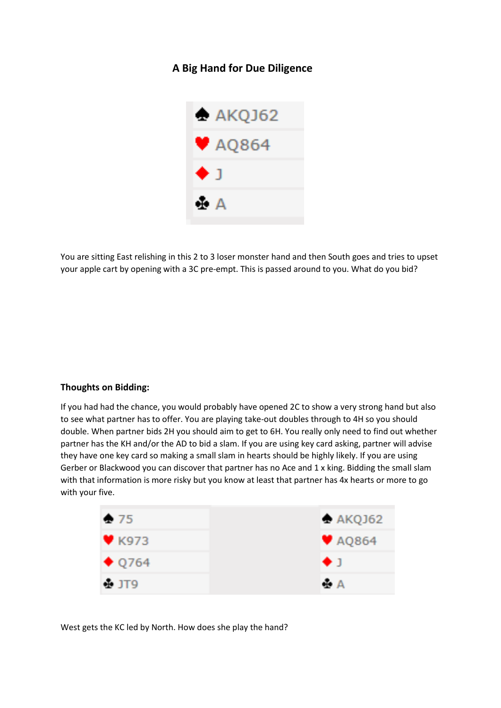## **A Big Hand for Due Diligence**



You are sitting East relishing in this 2 to 3 loser monster hand and then South goes and tries to upset your apple cart by opening with a 3C pre-empt. This is passed around to you. What do you bid?

## **Thoughts on Bidding:**

If you had had the chance, you would probably have opened 2C to show a very strong hand but also to see what partner has to offer. You are playing take-out doubles through to 4H so you should double. When partner bids 2H you should aim to get to 6H. You really only need to find out whether partner has the KH and/or the AD to bid a slam. If you are using key card asking, partner will advise they have one key card so making a small slam in hearts should be highly likely. If you are using Gerber or Blackwood you can discover that partner has no Ace and 1 x king. Bidding the small slam with that information is more risky but you know at least that partner has 4x hearts or more to go with your five.

| $\div$ 75      | A KQJ62      |
|----------------|--------------|
| $W$ K973       | $\Psi$ AQ864 |
| $\bullet$ Q764 | $+1$         |
| $+$ JT9        | ÷Α           |

West gets the KC led by North. How does she play the hand?